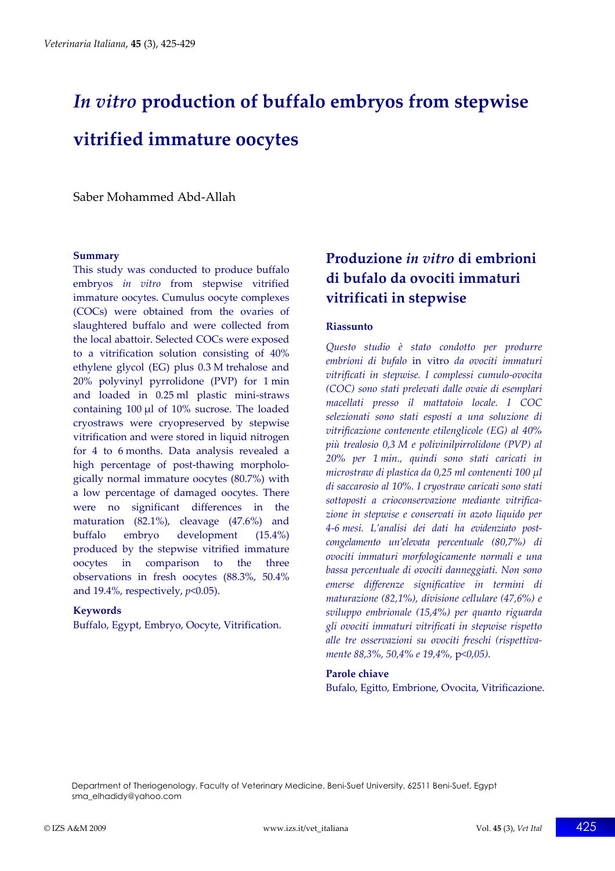# *In vitro* **production of buffalo embryos from stepwise vitrified immature oocytes**

Saber Mohammed Abd‐Allah

#### **Summary**

This study was conducted to produce buffalo embryos *in vitro* from stepwise vitrified immature oocytes. Cumulus oocyte complexes (COCs) were obtained from the ovaries of slaughtered buffalo and were collected from the local abattoir. Selected COCs were exposed to a vitrification solution consisting of 40% ethylene glycol (EG) plus 0.3 M trehalose and 20% polyvinyl pyrrolidone (PVP) for 1 min and loaded in 0.25 ml plastic mini‐straws containing 100 μl of 10% sucrose. The loaded cryostraws were cryopreserved by stepwise vitrification and were stored in liquid nitrogen for 4 to 6 months. Data analysis revealed a high percentage of post-thawing morphologically normal immature oocytes (80.7%) with a low percentage of damaged oocytes. There were no significant differences in the maturation (82.1%), cleavage (47.6%) and buffalo embryo development (15.4%) produced by the stepwise vitrified immature oocytes in comparison to the three observations in fresh oocytes (88.3%, 50.4% and 19.4%, respectively, *p*<0.05).

#### **Keywords**

Buffalo, Egypt, Embryo, Oocyte, Vitrification.

# **Produzione** *in vitro* **di embrioni di bufalo da ovociti immaturi vitrificati in stepwise**

## **Riassunto**

*Questo studio è stato condotto per produrre embrioni di bufalo* in vitro *da ovociti immaturi vitrificati in stepwise. I complessi cumulo‐ovocita (COC) sono stati prelevati dalle ovaie di esemplari macellati presso il mattatoio locale. I COC selezionati sono stati esposti a una soluzione di vitrificazione contenente etilenglicole (EG) al 40% più trealosio 0,3 M e polivinilpirrolidone (PVP) al 20% per 1 min., quindi sono stati caricati in microstraw di plastica da 0,25 ml contenenti 100 μl di saccarosio al 10%. I cryostraw caricati sono stati sottoposti a crioconservazione mediante vitrifica‐ zione in stepwise e conservati in azoto liquido per 4‐6 mesi. L'analisi dei dati ha evidenziato post‐ congelamento un'elevata percentuale (80,7%) di ovociti immaturi morfologicamente normali e una bassa percentuale di ovociti danneggiati. Non sono emerse differenze significative in termini di maturazione (82,1%), divisione cellulare (47,6%) e sviluppo embrionale (15,4%) per quanto riguarda gli ovociti immaturi vitrificati in stepwise rispetto alle tre osservazioni su ovociti freschi (rispettiva‐ mente 88,3%, 50,4% e 19,4%,* p*<0,05).*

#### **Parole chiave**

Bufalo, Egitto, Embrione, Ovocita, Vitrificazione.

Department of Theriogenology, Faculty of Veterinary Medicine, Beni-Suef University, 62511 Beni-Suef, Egypt sma\_elhadidy@yahoo.com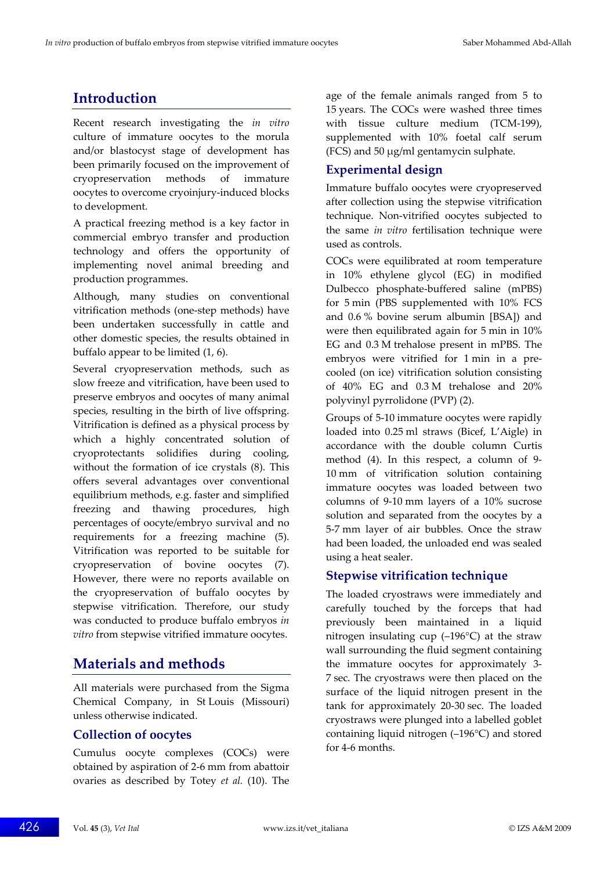# **Introduction**

Recent research investigating the *in vitro* culture of immature oocytes to the morula and/or blastocyst stage of development has been primarily focused on the improvement of cryopreservation methods of immature oocytes to overcome cryoinjury‐induced blocks to development.

A practical freezing method is a key factor in commercial embryo transfer and production technology and offers the opportunity of implementing novel animal breeding and production programmes.

Although, many studies on conventional vitrification methods (one‐step methods) have been undertaken successfully in cattle and other domestic species, the results obtained in buffalo appear to be limited (1, 6).

Several cryopreservation methods, such as slow freeze and vitrification, have been used to preserve embryos and oocytes of many animal species, resulting in the birth of live offspring. Vitrification is defined as a physical process by which a highly concentrated solution of cryoprotectants solidifies during cooling, without the formation of ice crystals (8). This offers several advantages over conventional equilibrium methods, e.g. faster and simplified freezing and thawing procedures, high percentages of oocyte/embryo survival and no requirements for a freezing machine (5). Vitrification was reported to be suitable for cryopreservation of bovine oocytes (7). However, there were no reports available on the cryopreservation of buffalo oocytes by stepwise vitrification. Therefore, our study was conducted to produce buffalo embryos *in vitro* from stepwise vitrified immature oocytes.

# **Materials and methods**

All materials were purchased from the Sigma Chemical Company, in St Louis (Missouri) unless otherwise indicated.

## **Collection of oocytes**

Cumulus oocyte complexes (COCs) were obtained by aspiration of 2‐6 mm from abattoir ovaries as described by Totey *et al.* (10). The age of the female animals ranged from 5 to 15 years. The COCs were washed three times with tissue culture medium (TCM-199), supplemented with 10% foetal calf serum (FCS) and 50 μg/ml gentamycin sulphate.

## **Experimental design**

Immature buffalo oocytes were cryopreserved after collection using the stepwise vitrification technique. Non‐vitrified oocytes subjected to the same *in vitro* fertilisation technique were used as controls.

COCs were equilibrated at room temperature in 10% ethylene glycol (EG) in modified Dulbecco phosphate‐buffered saline (mPBS) for 5 min (PBS supplemented with 10% FCS and 0.6 % bovine serum albumin [BSA]) and were then equilibrated again for 5 min in 10% EG and 0.3 M trehalose present in mPBS. The embryos were vitrified for 1 min in a pre‐ cooled (on ice) vitrification solution consisting of 40% EG and 0.3 M trehalose and 20% polyvinyl pyrrolidone (PVP) (2).

Groups of 5‐10 immature oocytes were rapidly loaded into 0.25 ml straws (Bicef, L'Aigle) in accordance with the double column Curtis method (4). In this respect, a column of 9-10 mm of vitrification solution containing immature oocytes was loaded between two columns of 9‐10 mm layers of a 10% sucrose solution and separated from the oocytes by a 5‐7 mm layer of air bubbles. Once the straw had been loaded, the unloaded end was sealed using a heat sealer.

## **Stepwise vitrification technique**

The loaded cryostraws were immediately and carefully touched by the forceps that had previously been maintained in a liquid nitrogen insulating cup (–196°C) at the straw wall surrounding the fluid segment containing the immature oocytes for approximately 3‐ 7 sec. The cryostraws were then placed on the surface of the liquid nitrogen present in the tank for approximately 20‐30 sec. The loaded cryostraws were plunged into a labelled goblet containing liquid nitrogen (–196°C) and stored for 4‐6 months.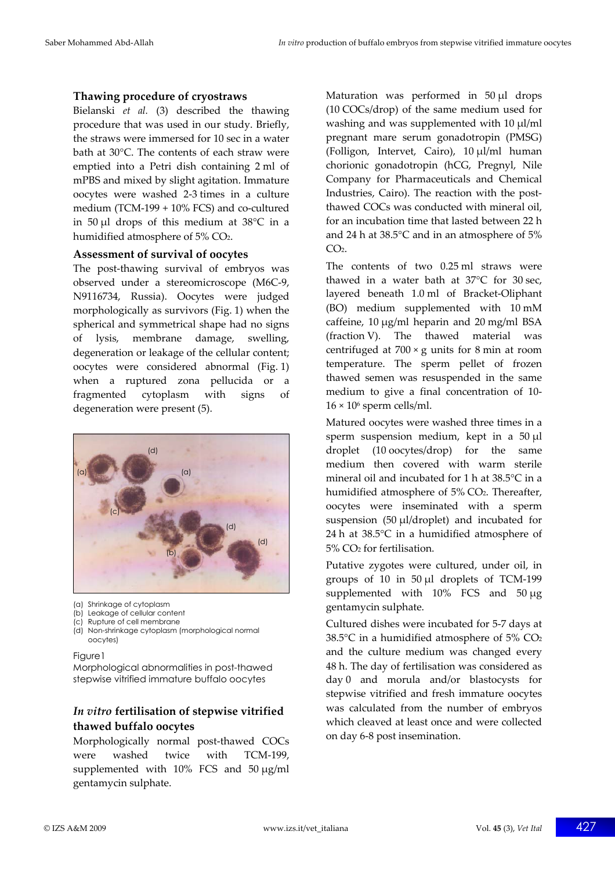## **Thawing procedure of cryostraws**

Bielanski *et al.* (3) described the thawing procedure that was used in our study. Briefly, the straws were immersed for 10 sec in a water bath at 30°C. The contents of each straw were emptied into a Petri dish containing 2 ml of mPBS and mixed by slight agitation. Immature oocytes were washed 2‐3 times in a culture medium (TCM-199 + 10% FCS) and co-cultured in 50 μl drops of this medium at 38°C in a humidified atmosphere of 5% CO2.

#### **Assessment of survival of oocytes**

The post-thawing survival of embryos was observed under a stereomicroscope (M6C‐9, N9116734, Russia). Oocytes were judged morphologically as survivors (Fig. 1) when the spherical and symmetrical shape had no signs of lysis, membrane damage, swelling, degeneration or leakage of the cellular content; oocytes were considered abnormal (Fig. 1) when a ruptured zona pellucida or a fragmented cytoplasm with signs of degeneration were present (5).



- (a) Shrinkage of cytoplasm
- (b) Leakage of cellular content
- (c) Rupture of cell membrane
- (d) Non-shrinkage cytoplasm (morphological normal oocytes)

#### Figure1

Morphological abnormalities in post-thawed stepwise vitrified immature buffalo oocytes

## *In vitro* **fertilisation of stepwise vitrified thawed buffalo oocytes**

Morphologically normal post-thawed COCs were washed twice with TCM-199, supplemented with 10% FCS and 50 μg/ml gentamycin sulphate.

Maturation was performed in 50 μl drops (10 COCs/drop) of the same medium used for washing and was supplemented with 10 μl/ml pregnant mare serum gonadotropin (PMSG) (Folligon, Intervet, Cairo), 10 μl/ml human chorionic gonadotropin (hCG, Pregnyl, Nile Company for Pharmaceuticals and Chemical Industries, Cairo). The reaction with the post‐ thawed COCs was conducted with mineral oil, for an incubation time that lasted between 22 h and 24 h at 38.5°C and in an atmosphere of 5%  $CO<sub>2</sub>$ .

The contents of two 0.25 ml straws were thawed in a water bath at 37°C for 30 sec, layered beneath 1.0 ml of Bracket‐Oliphant (BO) medium supplemented with 10 mM caffeine, 10 μg/ml heparin and 20 mg/ml BSA (fraction V). The thawed material was centrifuged at  $700 \times g$  units for 8 min at room temperature. The sperm pellet of frozen thawed semen was resuspended in the same medium to give a final concentration of 10‐  $16 \times 10^6$  sperm cells/ml.

Matured oocytes were washed three times in a sperm suspension medium, kept in a 50 μl droplet (10 oocytes/drop) for the same medium then covered with warm sterile mineral oil and incubated for 1 h at 38.5°C in a humidified atmosphere of 5% CO<sub>2</sub>. Thereafter, oocytes were inseminated with a sperm suspension (50 μl/droplet) and incubated for 24 h at 38.5°C in a humidified atmosphere of 5% CO2 for fertilisation.

Putative zygotes were cultured, under oil, in groups of 10 in 50 μl droplets of TCM‐199 supplemented with 10% FCS and 50 μg gentamycin sulphate.

Cultured dishes were incubated for 5‐7 days at 38.5°C in a humidified atmosphere of 5% CO2 and the culture medium was changed every 48 h. The day of fertilisation was considered as day 0 and morula and/or blastocysts for stepwise vitrified and fresh immature oocytes was calculated from the number of embryos which cleaved at least once and were collected on day 6‐8 post insemination.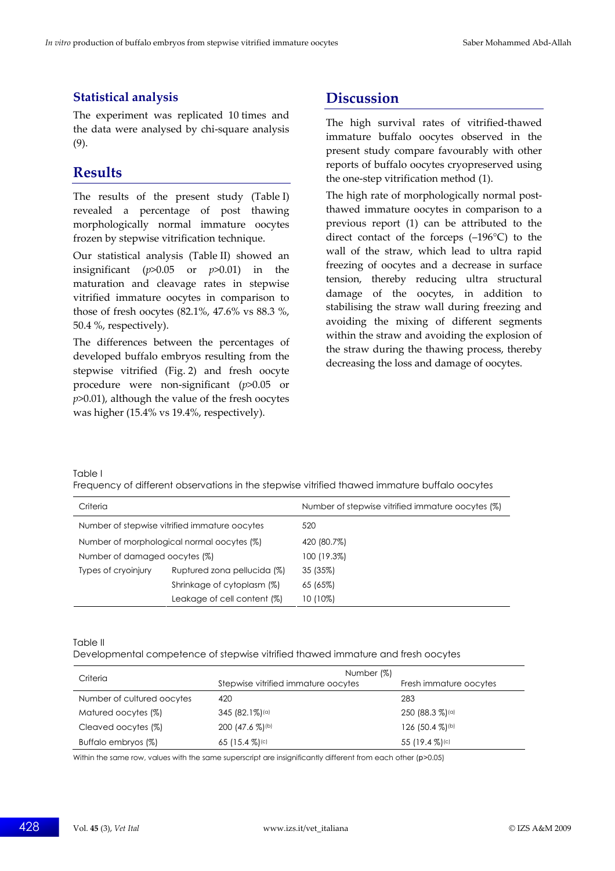## **Statistical analysis**

The experiment was replicated 10 times and the data were analysed by chi‐square analysis (9).

# **Results**

The results of the present study (Table I) revealed a percentage of post thawing morphologically normal immature oocytes frozen by stepwise vitrification technique.

Our statistical analysis (Table II) showed an insignificant (*p*>0.05 or *p*>0.01) in the maturation and cleavage rates in stepwise vitrified immature oocytes in comparison to those of fresh oocytes (82.1%, 47.6% vs 88.3 %, 50.4 %, respectively).

The differences between the percentages of developed buffalo embryos resulting from the stepwise vitrified (Fig. 2) and fresh oocyte procedure were non‐significant (*p*>0.05 or *p*>0.01), although the value of the fresh oocytes was higher (15.4% vs 19.4%, respectively).

# **Discussion**

The high survival rates of vitrified-thawed immature buffalo oocytes observed in the present study compare favourably with other reports of buffalo oocytes cryopreserved using the one‐step vitrification method (1).

The high rate of morphologically normal post‐ thawed immature oocytes in comparison to a previous report (1) can be attributed to the direct contact of the forceps (–196°C) to the wall of the straw, which lead to ultra rapid freezing of oocytes and a decrease in surface tension, thereby reducing ultra structural damage of the oocytes, in addition to stabilising the straw wall during freezing and avoiding the mixing of different segments within the straw and avoiding the explosion of the straw during the thawing process, thereby decreasing the loss and damage of oocytes.

Table Ι

Frequency of different observations in the stepwise vitrified thawed immature buffalo oocytes

| Criteria                                      |                             | Number of stepwise vitrified immature oocytes (%) |
|-----------------------------------------------|-----------------------------|---------------------------------------------------|
| Number of stepwise vitrified immature oocytes |                             | 520                                               |
| Number of morphological normal oocytes (%)    |                             | 420 (80.7%)                                       |
| Number of damaged oocytes (%)                 |                             | 100 (19.3%)                                       |
| Types of cryoinjury                           | Ruptured zona pellucida (%) | 35 (35%)                                          |
|                                               | Shrinkage of cytoplasm (%)  | 65 (65%)                                          |
|                                               | Leakage of cell content (%) | 10 (10%)                                          |

Table ΙΙ

Developmental competence of stepwise vitrified thawed immature and fresh oocytes

| Criteria                   | Number (%)                          |                              |  |
|----------------------------|-------------------------------------|------------------------------|--|
|                            | Stepwise vitrified immature opcytes | Fresh immature oocytes       |  |
| Number of cultured oocytes | 420                                 | 283                          |  |
| Matured oocytes (%)        | $345(82.1\%)$ <sup>(a)</sup>        | $250(88.3\%)$ <sup>(a)</sup> |  |
| Cleaved oocytes (%)        | 200 (47.6 %) (b)                    | 126 (50.4 %)(b)              |  |
| Buffalo embryos (%)        | 65 $(15.4\%)$                       | 55 $(19.4\%)$                |  |

Within the same row, values with the same superscript are insignificantly different from each other (*p*>0.05)